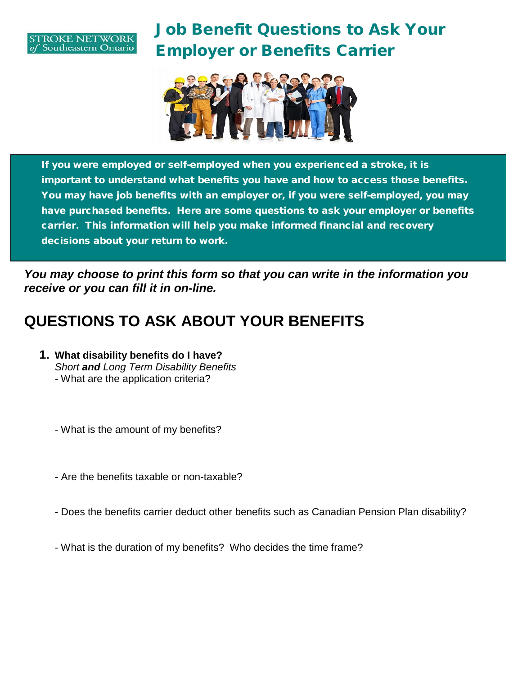#### **TROKE NETWORK** Southeastern Ontario

# Job Benefit Questions to Ask Your Employer or Benefits Carrier



If you were employed or self-employed when you experienced a stroke, it is important to understand what benefits you have and how to access those benefits. You may have job benefits with an employer or, if you were self-employed, you may have purchased benefits. Here are some questions to ask your employer or benefits carrier. This information will help you make informed financial and recovery decisions about your return to work.

*You may choose to print this form so that you can write in the information you receive or you can fill it in on-line.* 

### **QUESTIONS TO ASK ABOUT YOUR BENEFITS**

**1. What disability benefits do I have?** *Short and Long Term Disability Benefits* - What are the application criteria?

- What is the amount of my benefits?

- Are the benefits taxable or non-taxable?
- Does the benefits carrier deduct other benefits such as Canadian Pension Plan disability?
- What is the duration of my benefits? Who decides the time frame?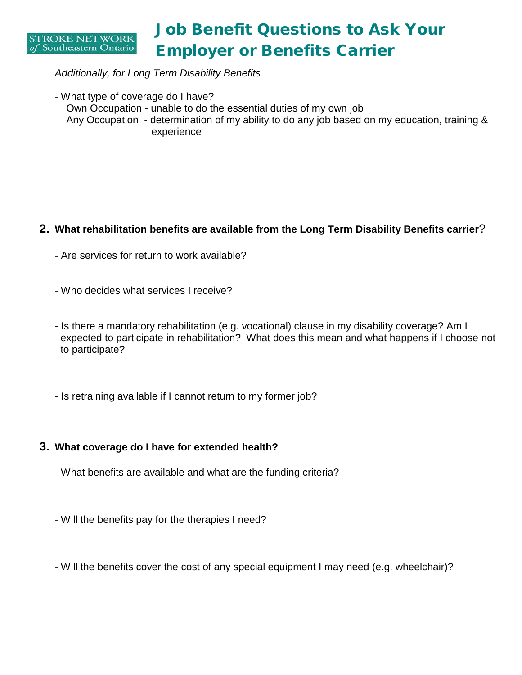

### Job Benefit Questions to Ask Your Employer or Benefits Carrier

*Additionally, for Long Term Disability Benefits*

- What type of coverage do I have? Own Occupation - unable to do the essential duties of my own job Any Occupation - determination of my ability to do any job based on my education, training & experience

### **2. What rehabilitation benefits are available from the Long Term Disability Benefits carrier**?

- Are services for return to work available?
- Who decides what services I receive?
- Is there a mandatory rehabilitation (e.g. vocational) clause in my disability coverage? Am I expected to participate in rehabilitation? What does this mean and what happens if I choose not to participate?
- Is retraining available if I cannot return to my former job?

#### **3. What coverage do I have for extended health?**

- What benefits are available and what are the funding criteria?
- Will the benefits pay for the therapies I need?
- Will the benefits cover the cost of any special equipment I may need (e.g. wheelchair)?